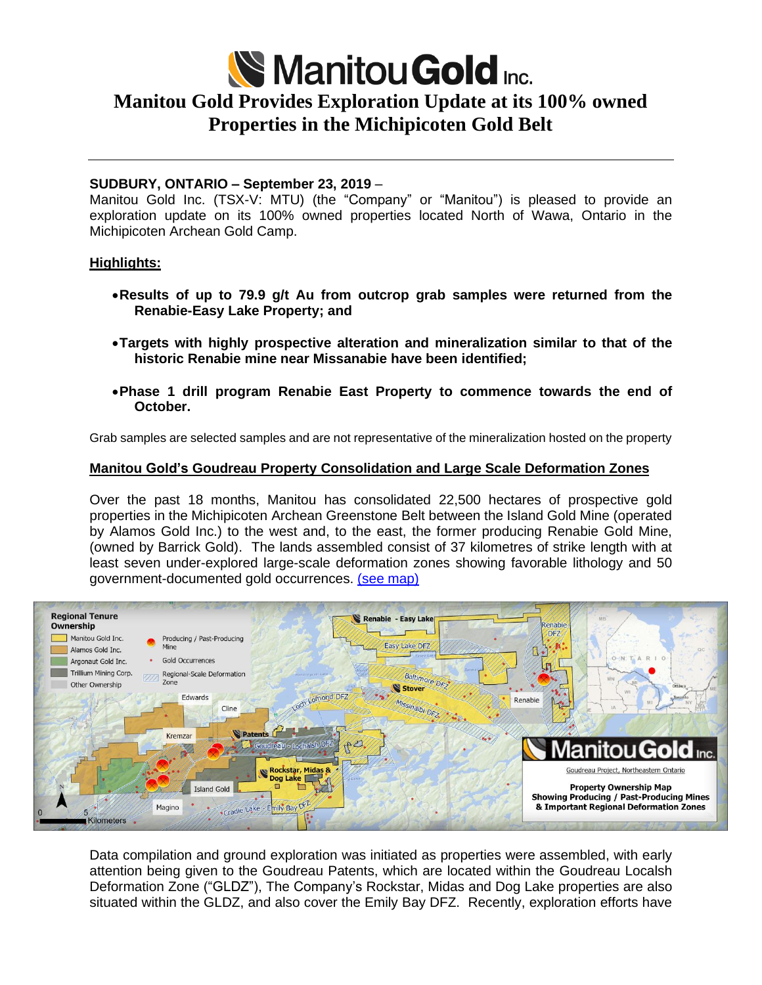

# **Manitou Gold Provides Exploration Update at its 100% owned Properties in the Michipicoten Gold Belt**

# **SUDBURY, ONTARIO – September 23, 2019** –

Manitou Gold Inc. (TSX-V: MTU) (the "Company" or "Manitou") is pleased to provide an exploration update on its 100% owned properties located North of Wawa, Ontario in the Michipicoten Archean Gold Camp.

#### **Highlights:**

- •**Results of up to 79.9 g/t Au from outcrop grab samples were returned from the Renabie-Easy Lake Property; and**
- •**Targets with highly prospective alteration and mineralization similar to that of the historic Renabie mine near Missanabie have been identified;**
- •**Phase 1 drill program Renabie East Property to commence towards the end of October.**

Grab samples are selected samples and are not representative of the mineralization hosted on the property

# **Manitou Gold's Goudreau Property Consolidation and Large Scale Deformation Zones**

Over the past 18 months, Manitou has consolidated 22,500 hectares of prospective gold properties in the Michipicoten Archean Greenstone Belt between the Island Gold Mine (operated by Alamos Gold Inc.) to the west and, to the east, the former producing Renabie Gold Mine, (owned by Barrick Gold). The lands assembled consist of 37 kilometres of strike length with at least seven under-explored large-scale deformation zones showing favorable lithology and 50 government-documented gold occurrences. (see [map\)](http://www.manitougold.com/_resources/maps/Manitou-Gold-land-position-Wawa-juristidction-22-hectares-Sept-2019-Area-Map.jpg)



Data compilation and ground exploration was initiated as properties were assembled, with early attention being given to the Goudreau Patents, which are located within the Goudreau Localsh Deformation Zone ("GLDZ"), The Company's Rockstar, Midas and Dog Lake properties are also situated within the GLDZ, and also cover the Emily Bay DFZ. Recently, exploration efforts have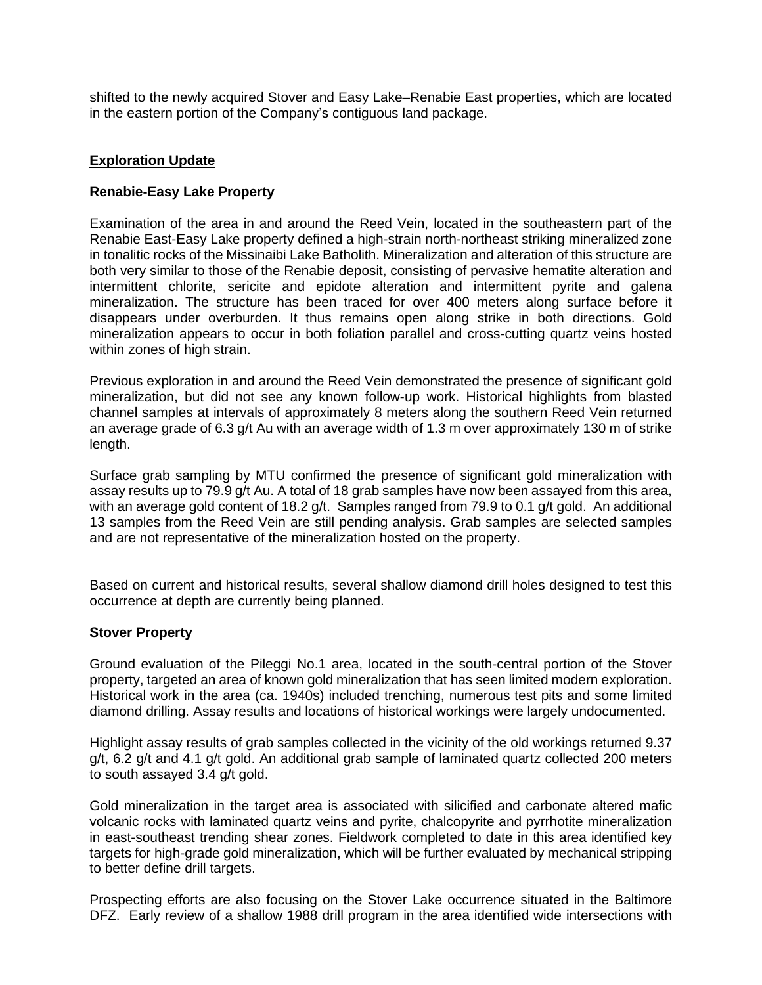shifted to the newly acquired Stover and Easy Lake–Renabie East properties, which are located in the eastern portion of the Company's contiguous land package.

## **Exploration Update**

## **Renabie-Easy Lake Property**

Examination of the area in and around the Reed Vein, located in the southeastern part of the Renabie East-Easy Lake property defined a high-strain north-northeast striking mineralized zone in tonalitic rocks of the Missinaibi Lake Batholith. Mineralization and alteration of this structure are both very similar to those of the Renabie deposit, consisting of pervasive hematite alteration and intermittent chlorite, sericite and epidote alteration and intermittent pyrite and galena mineralization. The structure has been traced for over 400 meters along surface before it disappears under overburden. It thus remains open along strike in both directions. Gold mineralization appears to occur in both foliation parallel and cross-cutting quartz veins hosted within zones of high strain.

Previous exploration in and around the Reed Vein demonstrated the presence of significant gold mineralization, but did not see any known follow-up work. Historical highlights from blasted channel samples at intervals of approximately 8 meters along the southern Reed Vein returned an average grade of 6.3 g/t Au with an average width of 1.3 m over approximately 130 m of strike length.

Surface grab sampling by MTU confirmed the presence of significant gold mineralization with assay results up to 79.9 g/t Au. A total of 18 grab samples have now been assayed from this area, with an average gold content of 18.2 g/t. Samples ranged from 79.9 to 0.1 g/t gold. An additional 13 samples from the Reed Vein are still pending analysis. Grab samples are selected samples and are not representative of the mineralization hosted on the property.

Based on current and historical results, several shallow diamond drill holes designed to test this occurrence at depth are currently being planned.

#### **Stover Property**

Ground evaluation of the Pileggi No.1 area, located in the south-central portion of the Stover property, targeted an area of known gold mineralization that has seen limited modern exploration. Historical work in the area (ca. 1940s) included trenching, numerous test pits and some limited diamond drilling. Assay results and locations of historical workings were largely undocumented.

Highlight assay results of grab samples collected in the vicinity of the old workings returned 9.37 g/t, 6.2 g/t and 4.1 g/t gold. An additional grab sample of laminated quartz collected 200 meters to south assayed 3.4 g/t gold.

Gold mineralization in the target area is associated with silicified and carbonate altered mafic volcanic rocks with laminated quartz veins and pyrite, chalcopyrite and pyrrhotite mineralization in east-southeast trending shear zones. Fieldwork completed to date in this area identified key targets for high-grade gold mineralization, which will be further evaluated by mechanical stripping to better define drill targets.

Prospecting efforts are also focusing on the Stover Lake occurrence situated in the Baltimore DFZ. Early review of a shallow 1988 drill program in the area identified wide intersections with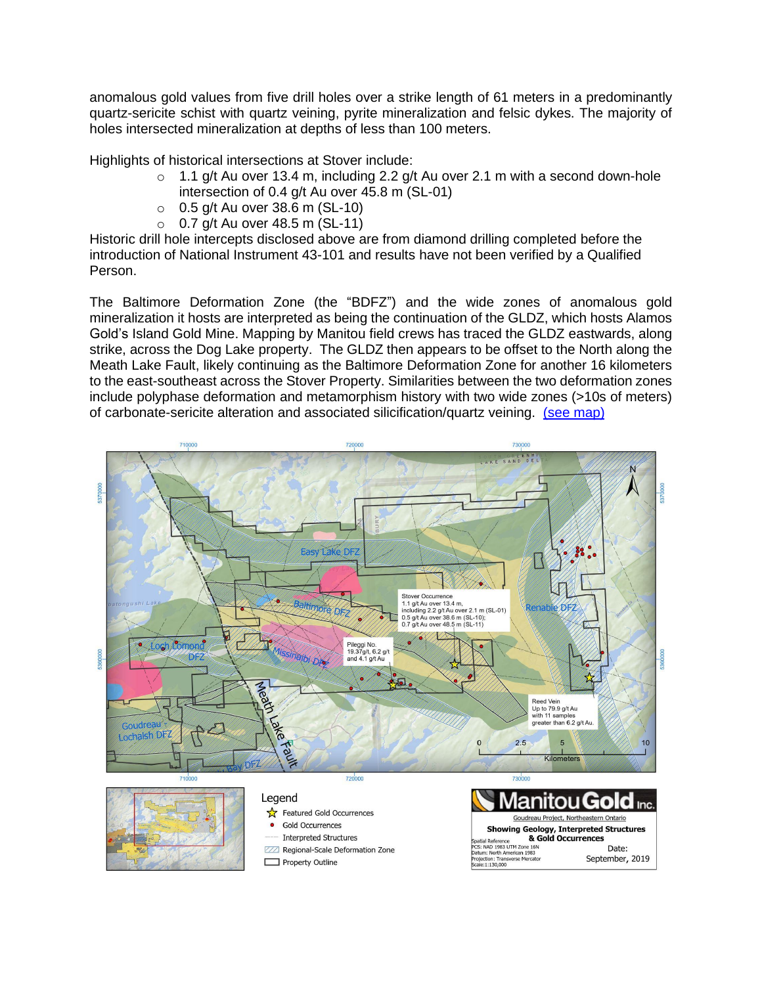anomalous gold values from five drill holes over a strike length of 61 meters in a predominantly quartz-sericite schist with quartz veining, pyrite mineralization and felsic dykes. The majority of holes intersected mineralization at depths of less than 100 meters.

Highlights of historical intersections at Stover include:

- $\circ$  1.1 g/t Au over 13.4 m, including 2.2 g/t Au over 2.1 m with a second down-hole intersection of 0.4 g/t Au over 45.8 m (SL-01)
- $\circ$  0.5 g/t Au over 38.6 m (SL-10)
- $\circ$  0.7 g/t Au over 48.5 m (SL-11)

Historic drill hole intercepts disclosed above are from diamond drilling completed before the introduction of National Instrument 43-101 and results have not been verified by a Qualified Person.

The Baltimore Deformation Zone (the "BDFZ") and the wide zones of anomalous gold mineralization it hosts are interpreted as being the continuation of the GLDZ, which hosts Alamos Gold's Island Gold Mine. Mapping by Manitou field crews has traced the GLDZ eastwards, along strike, across the Dog Lake property. The GLDZ then appears to be offset to the North along the Meath Lake Fault, likely continuing as the Baltimore Deformation Zone for another 16 kilometers to the east-southeast across the Stover Property. Similarities between the two deformation zones include polyphase deformation and metamorphism history with two wide zones (>10s of meters) of carbonate-sericite alteration and associated silicification/quartz veining. (see [map\)](http://www.manitougold.com/_resources/maps/Map_SepRelease-Stover-Baltimore-Missinaibi-Easy-Lake-Renabie-DFZ.pdf)

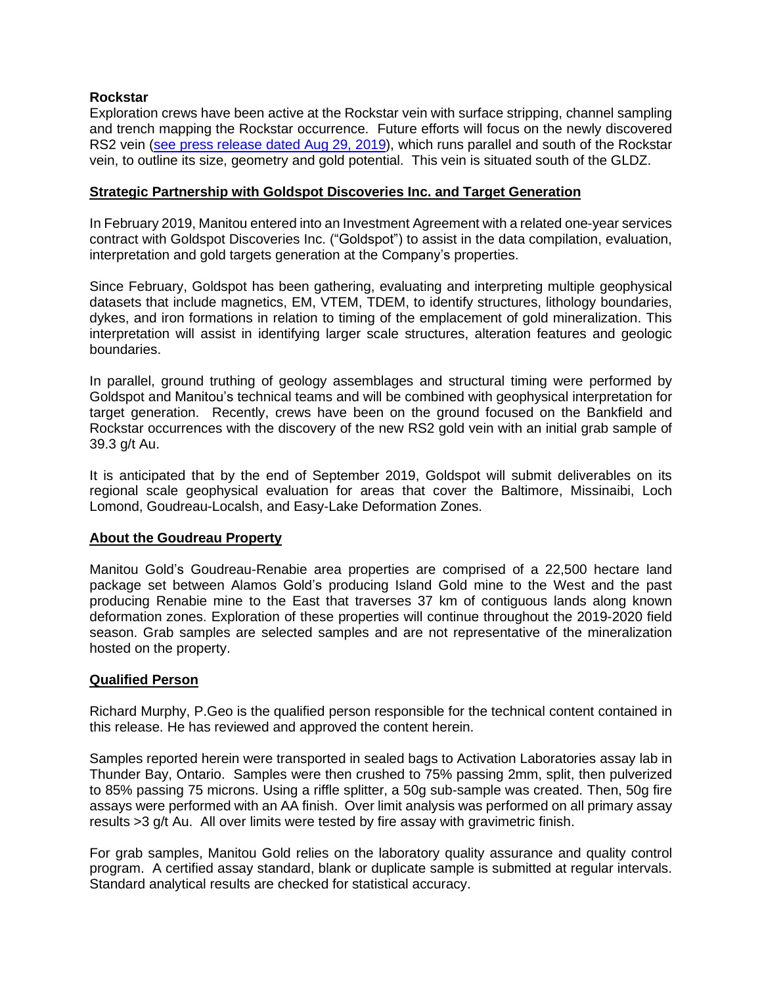# **Rockstar**

Exploration crews have been active at the Rockstar vein with surface stripping, channel sampling and trench mapping the Rockstar occurrence. Future efforts will focus on the newly discovered RS2 vein (see press [release](http://manitougold.com/_resources/news/nr-20190829.pdf) dated Aug 29, 2019), which runs parallel and south of the Rockstar vein, to outline its size, geometry and gold potential. This vein is situated south of the GLDZ.

#### **Strategic Partnership with Goldspot Discoveries Inc. and Target Generation**

In February 2019, Manitou entered into an Investment Agreement with a related one-year services contract with Goldspot Discoveries Inc. ("Goldspot") to assist in the data compilation, evaluation, interpretation and gold targets generation at the Company's properties.

Since February, Goldspot has been gathering, evaluating and interpreting multiple geophysical datasets that include magnetics, EM, VTEM, TDEM, to identify structures, lithology boundaries, dykes, and iron formations in relation to timing of the emplacement of gold mineralization. This interpretation will assist in identifying larger scale structures, alteration features and geologic boundaries.

In parallel, ground truthing of geology assemblages and structural timing were performed by Goldspot and Manitou's technical teams and will be combined with geophysical interpretation for target generation. Recently, crews have been on the ground focused on the Bankfield and Rockstar occurrences with the discovery of the new RS2 gold vein with an initial grab sample of 39.3 g/t Au.

It is anticipated that by the end of September 2019, Goldspot will submit deliverables on its regional scale geophysical evaluation for areas that cover the Baltimore, Missinaibi, Loch Lomond, Goudreau-Localsh, and Easy-Lake Deformation Zones.

#### **About the Goudreau Property**

Manitou Gold's Goudreau-Renabie area properties are comprised of a 22,500 hectare land package set between Alamos Gold's producing Island Gold mine to the West and the past producing Renabie mine to the East that traverses 37 km of contiguous lands along known deformation zones. Exploration of these properties will continue throughout the 2019-2020 field season. Grab samples are selected samples and are not representative of the mineralization hosted on the property.

#### **Qualified Person**

Richard Murphy, P.Geo is the qualified person responsible for the technical content contained in this release. He has reviewed and approved the content herein.

Samples reported herein were transported in sealed bags to Activation Laboratories assay lab in Thunder Bay, Ontario. Samples were then crushed to 75% passing 2mm, split, then pulverized to 85% passing 75 microns. Using a riffle splitter, a 50g sub-sample was created. Then, 50g fire assays were performed with an AA finish. Over limit analysis was performed on all primary assay results >3 g/t Au. All over limits were tested by fire assay with gravimetric finish.

For grab samples, Manitou Gold relies on the laboratory quality assurance and quality control program. A certified assay standard, blank or duplicate sample is submitted at regular intervals. Standard analytical results are checked for statistical accuracy.